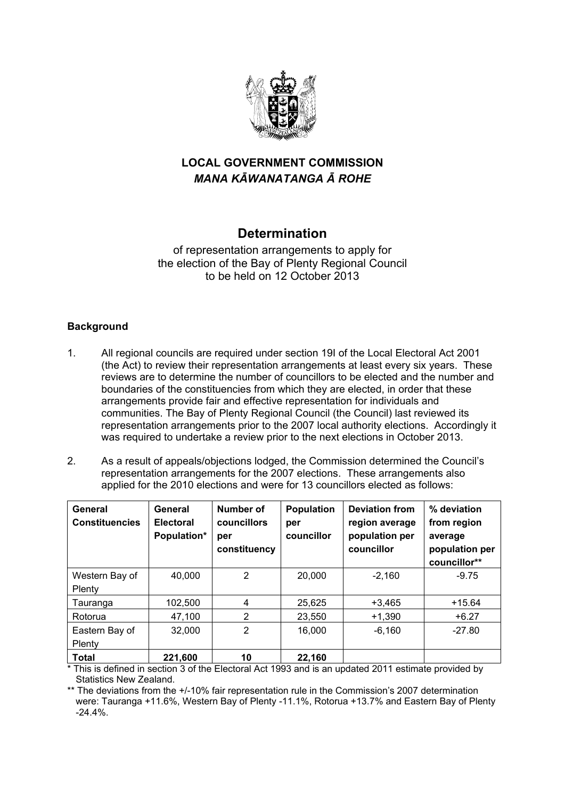

# **LOCAL GOVERNMENT COMMISSION**  *MANA KĀWANATANGA Ā ROHE*

## **Determination**

of representation arrangements to apply for the election of the Bay of Plenty Regional Council to be held on 12 October 2013

### **Background**

- 1. All regional councils are required under section 19I of the Local Electoral Act 2001 (the Act) to review their representation arrangements at least every six years. These reviews are to determine the number of councillors to be elected and the number and boundaries of the constituencies from which they are elected, in order that these arrangements provide fair and effective representation for individuals and communities. The Bay of Plenty Regional Council (the Council) last reviewed its representation arrangements prior to the 2007 local authority elections. Accordingly it was required to undertake a review prior to the next elections in October 2013.
- 2. As a result of appeals/objections lodged, the Commission determined the Council's representation arrangements for the 2007 elections. These arrangements also applied for the 2010 elections and were for 13 councillors elected as follows:

| General<br><b>Constituencies</b> | General<br><b>Electoral</b><br>Population* | Number of<br>councillors<br>per<br>constituency | <b>Population</b><br>per<br>councillor | <b>Deviation from</b><br>region average<br>population per<br>councillor | % deviation<br>from region<br>average<br>population per<br>councillor** |
|----------------------------------|--------------------------------------------|-------------------------------------------------|----------------------------------------|-------------------------------------------------------------------------|-------------------------------------------------------------------------|
| Western Bay of<br>Plenty         | 40,000                                     | 2                                               | 20,000                                 | $-2,160$                                                                | $-9.75$                                                                 |
| Tauranga                         | 102,500                                    | 4                                               | 25,625                                 | $+3.465$                                                                | $+15.64$                                                                |
| Rotorua                          | 47,100                                     | 2                                               | 23,550                                 | $+1,390$                                                                | $+6.27$                                                                 |
| Eastern Bay of<br>Plenty         | 32,000                                     | $\overline{2}$                                  | 16,000                                 | $-6,160$                                                                | $-27.80$                                                                |
| <b>Total</b>                     | 221,600                                    | 10                                              | 22,160                                 |                                                                         |                                                                         |

\* This is defined in section 3 of the Electoral Act 1993 and is an updated 2011 estimate provided by Statistics New Zealand.

\*\* The deviations from the +/-10% fair representation rule in the Commission's 2007 determination were: Tauranga +11.6%, Western Bay of Plenty -11.1%, Rotorua +13.7% and Eastern Bay of Plenty -24.4%.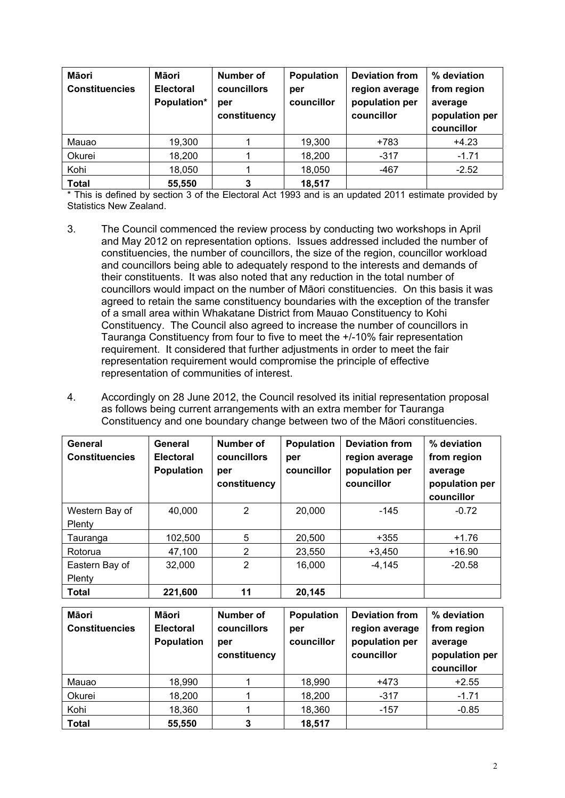| Māori<br><b>Constituencies</b> | Māori<br><b>Electoral</b><br>Population* | Number of<br>councillors<br>per<br>constituency | <b>Population</b><br>per<br>councillor | <b>Deviation from</b><br>region average<br>population per<br>councillor | % deviation<br>from region<br>average<br>population per<br>councillor |
|--------------------------------|------------------------------------------|-------------------------------------------------|----------------------------------------|-------------------------------------------------------------------------|-----------------------------------------------------------------------|
| Mauao                          | 19,300                                   |                                                 | 19,300                                 | +783                                                                    | $+4.23$                                                               |
| Okurei                         | 18,200                                   |                                                 | 18,200                                 | $-317$                                                                  | $-1.71$                                                               |
| Kohi                           | 18,050                                   |                                                 | 18,050                                 | $-467$                                                                  | $-2.52$                                                               |
| <b>Total</b>                   | 55,550                                   | 3                                               | 18,517                                 |                                                                         |                                                                       |

\* This is defined by section 3 of the Electoral Act 1993 and is an updated 2011 estimate provided by Statistics New Zealand.

- 3. The Council commenced the review process by conducting two workshops in April and May 2012 on representation options. Issues addressed included the number of constituencies, the number of councillors, the size of the region, councillor workload and councillors being able to adequately respond to the interests and demands of their constituents. It was also noted that any reduction in the total number of councillors would impact on the number of Māori constituencies. On this basis it was agreed to retain the same constituency boundaries with the exception of the transfer of a small area within Whakatane District from Mauao Constituency to Kohi Constituency. The Council also agreed to increase the number of councillors in Tauranga Constituency from four to five to meet the +/-10% fair representation requirement. It considered that further adjustments in order to meet the fair representation requirement would compromise the principle of effective representation of communities of interest.
- 4. Accordingly on 28 June 2012, the Council resolved its initial representation proposal as follows being current arrangements with an extra member for Tauranga Constituency and one boundary change between two of the Māori constituencies.

| General<br><b>Constituencies</b> | General<br><b>Electoral</b><br><b>Population</b> | Number of<br>councillors<br>per<br>constituency | <b>Population</b><br>per<br>councillor | <b>Deviation from</b><br>region average<br>population per<br>councillor | % deviation<br>from region<br>average<br>population per<br>councillor |
|----------------------------------|--------------------------------------------------|-------------------------------------------------|----------------------------------------|-------------------------------------------------------------------------|-----------------------------------------------------------------------|
| Western Bay of<br>Plenty         | 40,000                                           | $\overline{2}$                                  | 20,000                                 | $-145$                                                                  | $-0.72$                                                               |
| Tauranga                         | 102,500                                          | 5                                               | 20,500                                 | $+355$                                                                  | $+1.76$                                                               |
| Rotorua                          | 47,100                                           | 2                                               | 23,550                                 | $+3.450$                                                                | $+16.90$                                                              |
| Eastern Bay of<br>Plenty         | 32,000                                           | $\overline{2}$                                  | 16,000                                 | $-4,145$                                                                | $-20.58$                                                              |
| <b>Total</b>                     | 221,600                                          | 11                                              | 20,145                                 |                                                                         |                                                                       |

| Māori<br><b>Constituencies</b> | Māori<br><b>Electoral</b><br><b>Population</b> | Number of<br>councillors<br>per<br>constituency | <b>Population</b><br>per<br>councillor | <b>Deviation from</b><br>region average<br>population per<br>councillor | % deviation<br>from region<br>average<br>population per<br>councillor |
|--------------------------------|------------------------------------------------|-------------------------------------------------|----------------------------------------|-------------------------------------------------------------------------|-----------------------------------------------------------------------|
| Mauao                          | 18,990                                         |                                                 | 18,990                                 | +473                                                                    | $+2.55$                                                               |
| Okurei                         | 18,200                                         |                                                 | 18,200                                 | $-317$                                                                  | $-1.71$                                                               |
| Kohi                           | 18,360                                         |                                                 | 18,360                                 | $-157$                                                                  | $-0.85$                                                               |
| <b>Total</b>                   | 55,550                                         | 3                                               | 18,517                                 |                                                                         |                                                                       |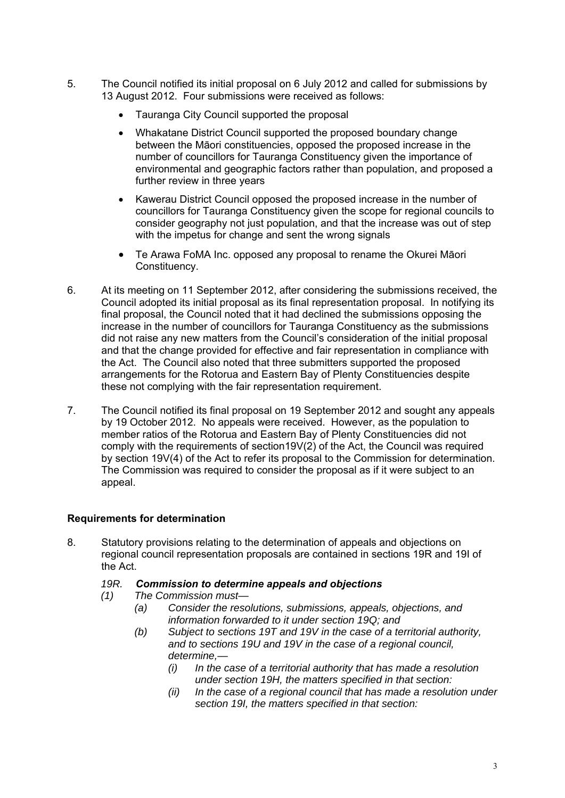- 5. The Council notified its initial proposal on 6 July 2012 and called for submissions by 13 August 2012. Four submissions were received as follows:
	- Tauranga City Council supported the proposal
	- Whakatane District Council supported the proposed boundary change between the Māori constituencies, opposed the proposed increase in the number of councillors for Tauranga Constituency given the importance of environmental and geographic factors rather than population, and proposed a further review in three years
	- Kawerau District Council opposed the proposed increase in the number of councillors for Tauranga Constituency given the scope for regional councils to consider geography not just population, and that the increase was out of step with the impetus for change and sent the wrong signals
	- Te Arawa FoMA Inc. opposed any proposal to rename the Okurei Māori Constituency.
- 6. At its meeting on 11 September 2012, after considering the submissions received, the Council adopted its initial proposal as its final representation proposal. In notifying its final proposal, the Council noted that it had declined the submissions opposing the increase in the number of councillors for Tauranga Constituency as the submissions did not raise any new matters from the Council's consideration of the initial proposal and that the change provided for effective and fair representation in compliance with the Act. The Council also noted that three submitters supported the proposed arrangements for the Rotorua and Eastern Bay of Plenty Constituencies despite these not complying with the fair representation requirement.
- 7. The Council notified its final proposal on 19 September 2012 and sought any appeals by 19 October 2012. No appeals were received. However, as the population to member ratios of the Rotorua and Eastern Bay of Plenty Constituencies did not comply with the requirements of section19V(2) of the Act, the Council was required by section 19V(4) of the Act to refer its proposal to the Commission for determination. The Commission was required to consider the proposal as if it were subject to an appeal.

### **Requirements for determination**

8. Statutory provisions relating to the determination of appeals and objections on regional council representation proposals are contained in sections 19R and 19I of the Act.

#### *19R. Commission to determine appeals and objections*

- *(1) The Commission must—* 
	- *(a) Consider the resolutions, submissions, appeals, objections, and information forwarded to it under section 19Q; and*
	- *(b) Subject to sections 19T and 19V in the case of a territorial authority, and to sections 19U and 19V in the case of a regional council, determine,—* 
		- *(i) In the case of a territorial authority that has made a resolution under section 19H, the matters specified in that section:*
		- *(ii) In the case of a regional council that has made a resolution under section 19I, the matters specified in that section:*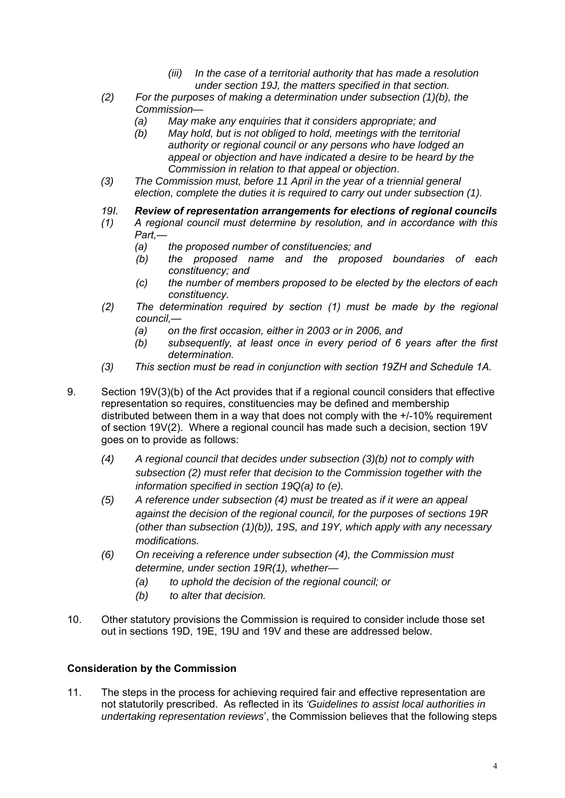- *(iii) In the case of a territorial authority that has made a resolution under section 19J, the matters specified in that section.*
- *(2) For the purposes of making a determination under subsection (1)(b), the Commission—* 
	- *(a) May make any enquiries that it considers appropriate; and*
	- *(b) May hold, but is not obliged to hold, meetings with the territorial authority or regional council or any persons who have lodged an appeal or objection and have indicated a desire to be heard by the Commission in relation to that appeal or objection*.
- *(3) The Commission must, before 11 April in the year of a triennial general election, complete the duties it is required to carry out under subsection (1).*
- *19I. Review of representation arrangements for elections of regional councils*
- *(1) A regional council must determine by resolution, and in accordance with this Part,—* 
	- *(a) the proposed number of constituencies; and*
	- *(b) the proposed name and the proposed boundaries of each constituency; and*
	- *(c) the number of members proposed to be elected by the electors of each constituency.*
- *(2) The determination required by section (1) must be made by the regional council,—* 
	- *(a) on the first occasion, either in 2003 or in 2006, and*
	- *(b) subsequently, at least once in every period of 6 years after the first determination.*
- *(3) This section must be read in conjunction with section 19ZH and Schedule 1A.*
- 9. Section 19V(3)(b) of the Act provides that if a regional council considers that effective representation so requires, constituencies may be defined and membership distributed between them in a way that does not comply with the +/-10% requirement of section 19V(2). Where a regional council has made such a decision, section 19V goes on to provide as follows:
	- *(4) A regional council that decides under subsection (3)(b) not to comply with subsection (2) must refer that decision to the Commission together with the information specified in section 19Q(a) to (e).*
	- *(5) A reference under subsection (4) must be treated as if it were an appeal against the decision of the regional council, for the purposes of sections 19R (other than subsection (1)(b)), 19S, and 19Y, which apply with any necessary modifications.*
	- *(6) On receiving a reference under subsection (4), the Commission must determine, under section 19R(1), whether—* 
		- *(a) to uphold the decision of the regional council; or*
		- *(b) to alter that decision.*
- 10. Other statutory provisions the Commission is required to consider include those set out in sections 19D, 19E, 19U and 19V and these are addressed below.

#### **Consideration by the Commission**

11. The steps in the process for achieving required fair and effective representation are not statutorily prescribed. As reflected in its *'Guidelines to assist local authorities in undertaking representation reviews*', the Commission believes that the following steps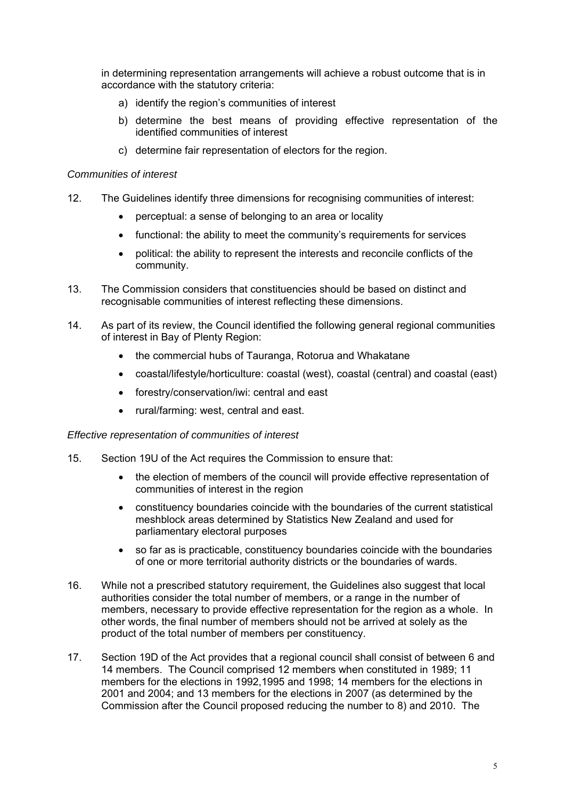in determining representation arrangements will achieve a robust outcome that is in accordance with the statutory criteria:

- a) identify the region's communities of interest
- b) determine the best means of providing effective representation of the identified communities of interest
- c) determine fair representation of electors for the region.

#### *Communities of interest*

- 12. The Guidelines identify three dimensions for recognising communities of interest:
	- perceptual: a sense of belonging to an area or locality
	- functional: the ability to meet the community's requirements for services
	- political: the ability to represent the interests and reconcile conflicts of the community.
- 13. The Commission considers that constituencies should be based on distinct and recognisable communities of interest reflecting these dimensions.
- 14. As part of its review, the Council identified the following general regional communities of interest in Bay of Plenty Region:
	- the commercial hubs of Tauranga, Rotorua and Whakatane
	- coastal/lifestyle/horticulture: coastal (west), coastal (central) and coastal (east)
	- forestry/conservation/iwi: central and east
	- rural/farming: west, central and east.

#### *Effective representation of communities of interest*

- 15. Section 19U of the Act requires the Commission to ensure that:
	- the election of members of the council will provide effective representation of communities of interest in the region
	- constituency boundaries coincide with the boundaries of the current statistical meshblock areas determined by Statistics New Zealand and used for parliamentary electoral purposes
	- so far as is practicable, constituency boundaries coincide with the boundaries of one or more territorial authority districts or the boundaries of wards.
- 16. While not a prescribed statutory requirement, the Guidelines also suggest that local authorities consider the total number of members, or a range in the number of members, necessary to provide effective representation for the region as a whole. In other words, the final number of members should not be arrived at solely as the product of the total number of members per constituency.
- 17. Section 19D of the Act provides that a regional council shall consist of between 6 and 14 members. The Council comprised 12 members when constituted in 1989; 11 members for the elections in 1992,1995 and 1998; 14 members for the elections in 2001 and 2004; and 13 members for the elections in 2007 (as determined by the Commission after the Council proposed reducing the number to 8) and 2010. The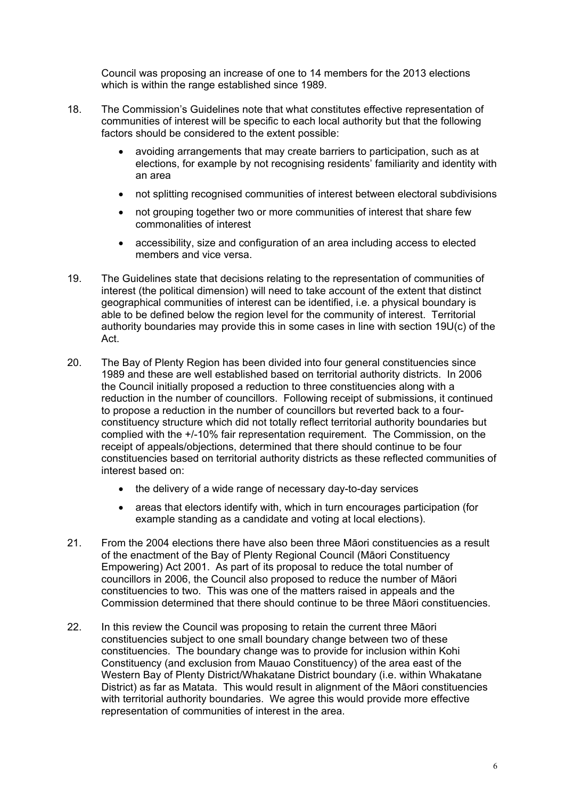Council was proposing an increase of one to 14 members for the 2013 elections which is within the range established since 1989.

- 18. The Commission's Guidelines note that what constitutes effective representation of communities of interest will be specific to each local authority but that the following factors should be considered to the extent possible:
	- avoiding arrangements that may create barriers to participation, such as at elections, for example by not recognising residents' familiarity and identity with an area
	- not splitting recognised communities of interest between electoral subdivisions
	- not grouping together two or more communities of interest that share few commonalities of interest
	- accessibility, size and configuration of an area including access to elected members and vice versa.
- 19. The Guidelines state that decisions relating to the representation of communities of interest (the political dimension) will need to take account of the extent that distinct geographical communities of interest can be identified, i.e. a physical boundary is able to be defined below the region level for the community of interest. Territorial authority boundaries may provide this in some cases in line with section 19U(c) of the Act.
- 20. The Bay of Plenty Region has been divided into four general constituencies since 1989 and these are well established based on territorial authority districts. In 2006 the Council initially proposed a reduction to three constituencies along with a reduction in the number of councillors. Following receipt of submissions, it continued to propose a reduction in the number of councillors but reverted back to a fourconstituency structure which did not totally reflect territorial authority boundaries but complied with the +/-10% fair representation requirement. The Commission, on the receipt of appeals/objections, determined that there should continue to be four constituencies based on territorial authority districts as these reflected communities of interest based on:
	- the delivery of a wide range of necessary day-to-day services
	- areas that electors identify with, which in turn encourages participation (for example standing as a candidate and voting at local elections).
- 21. From the 2004 elections there have also been three Māori constituencies as a result of the enactment of the Bay of Plenty Regional Council (Māori Constituency Empowering) Act 2001. As part of its proposal to reduce the total number of councillors in 2006, the Council also proposed to reduce the number of Māori constituencies to two. This was one of the matters raised in appeals and the Commission determined that there should continue to be three Māori constituencies.
- 22. In this review the Council was proposing to retain the current three Māori constituencies subject to one small boundary change between two of these constituencies. The boundary change was to provide for inclusion within Kohi Constituency (and exclusion from Mauao Constituency) of the area east of the Western Bay of Plenty District/Whakatane District boundary (i.e. within Whakatane District) as far as Matata. This would result in alignment of the Māori constituencies with territorial authority boundaries. We agree this would provide more effective representation of communities of interest in the area.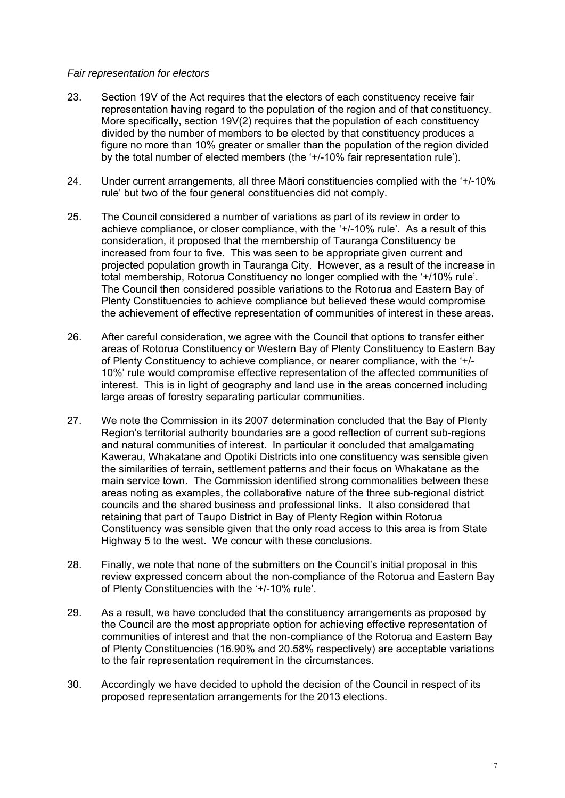#### *Fair representation for electors*

- 23. Section 19V of the Act requires that the electors of each constituency receive fair representation having regard to the population of the region and of that constituency. More specifically, section 19V(2) requires that the population of each constituency divided by the number of members to be elected by that constituency produces a figure no more than 10% greater or smaller than the population of the region divided by the total number of elected members (the '+/-10% fair representation rule').
- 24. Under current arrangements, all three Māori constituencies complied with the '+/-10% rule' but two of the four general constituencies did not comply.
- 25. The Council considered a number of variations as part of its review in order to achieve compliance, or closer compliance, with the '+/-10% rule'. As a result of this consideration, it proposed that the membership of Tauranga Constituency be increased from four to five. This was seen to be appropriate given current and projected population growth in Tauranga City. However, as a result of the increase in total membership, Rotorua Constituency no longer complied with the '+/10% rule'. The Council then considered possible variations to the Rotorua and Eastern Bay of Plenty Constituencies to achieve compliance but believed these would compromise the achievement of effective representation of communities of interest in these areas.
- 26. After careful consideration, we agree with the Council that options to transfer either areas of Rotorua Constituency or Western Bay of Plenty Constituency to Eastern Bay of Plenty Constituency to achieve compliance, or nearer compliance, with the '+/- 10%' rule would compromise effective representation of the affected communities of interest. This is in light of geography and land use in the areas concerned including large areas of forestry separating particular communities.
- 27. We note the Commission in its 2007 determination concluded that the Bay of Plenty Region's territorial authority boundaries are a good reflection of current sub-regions and natural communities of interest. In particular it concluded that amalgamating Kawerau, Whakatane and Opotiki Districts into one constituency was sensible given the similarities of terrain, settlement patterns and their focus on Whakatane as the main service town. The Commission identified strong commonalities between these areas noting as examples, the collaborative nature of the three sub-regional district councils and the shared business and professional links. It also considered that retaining that part of Taupo District in Bay of Plenty Region within Rotorua Constituency was sensible given that the only road access to this area is from State Highway 5 to the west. We concur with these conclusions.
- 28. Finally, we note that none of the submitters on the Council's initial proposal in this review expressed concern about the non-compliance of the Rotorua and Eastern Bay of Plenty Constituencies with the '+/-10% rule'.
- 29. As a result, we have concluded that the constituency arrangements as proposed by the Council are the most appropriate option for achieving effective representation of communities of interest and that the non-compliance of the Rotorua and Eastern Bay of Plenty Constituencies (16.90% and 20.58% respectively) are acceptable variations to the fair representation requirement in the circumstances.
- 30. Accordingly we have decided to uphold the decision of the Council in respect of its proposed representation arrangements for the 2013 elections.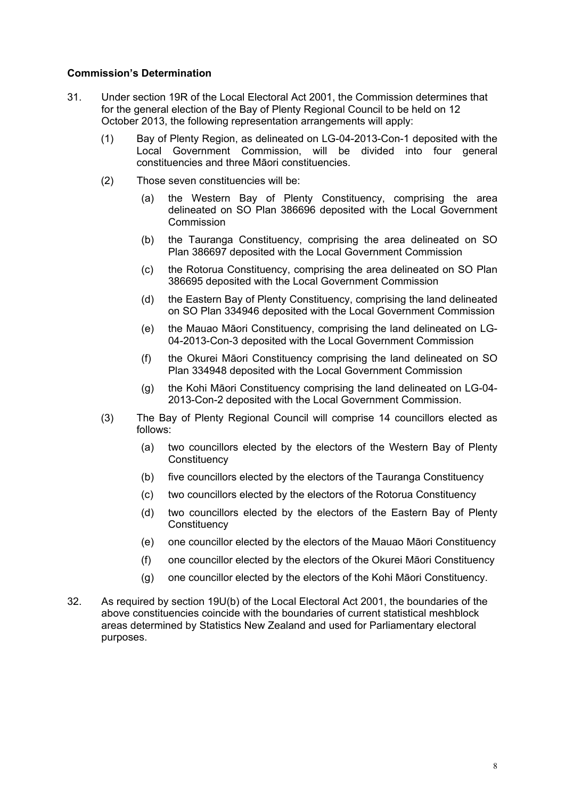#### **Commission's Determination**

- 31. Under section 19R of the Local Electoral Act 2001, the Commission determines that for the general election of the Bay of Plenty Regional Council to be held on 12 October 2013, the following representation arrangements will apply:
	- (1) Bay of Plenty Region, as delineated on LG-04-2013-Con-1 deposited with the Local Government Commission, will be divided into four general constituencies and three Māori constituencies.
	- (2) Those seven constituencies will be:
		- (a) the Western Bay of Plenty Constituency, comprising the area delineated on SO Plan 386696 deposited with the Local Government Commission
		- (b) the Tauranga Constituency, comprising the area delineated on SO Plan 386697 deposited with the Local Government Commission
		- (c) the Rotorua Constituency, comprising the area delineated on SO Plan 386695 deposited with the Local Government Commission
		- (d) the Eastern Bay of Plenty Constituency, comprising the land delineated on SO Plan 334946 deposited with the Local Government Commission
		- (e) the Mauao Māori Constituency, comprising the land delineated on LG-04-2013-Con-3 deposited with the Local Government Commission
		- (f) the Okurei Māori Constituency comprising the land delineated on SO Plan 334948 deposited with the Local Government Commission
		- (g) the Kohi Māori Constituency comprising the land delineated on LG-04- 2013-Con-2 deposited with the Local Government Commission.
	- (3) The Bay of Plenty Regional Council will comprise 14 councillors elected as follows:
		- (a) two councillors elected by the electors of the Western Bay of Plenty **Constituency**
		- (b) five councillors elected by the electors of the Tauranga Constituency
		- (c) two councillors elected by the electors of the Rotorua Constituency
		- (d) two councillors elected by the electors of the Eastern Bay of Plenty **Constituency**
		- (e) one councillor elected by the electors of the Mauao Māori Constituency
		- (f) one councillor elected by the electors of the Okurei Māori Constituency
		- (g) one councillor elected by the electors of the Kohi Māori Constituency.
- 32. As required by section 19U(b) of the Local Electoral Act 2001, the boundaries of the above constituencies coincide with the boundaries of current statistical meshblock areas determined by Statistics New Zealand and used for Parliamentary electoral purposes.